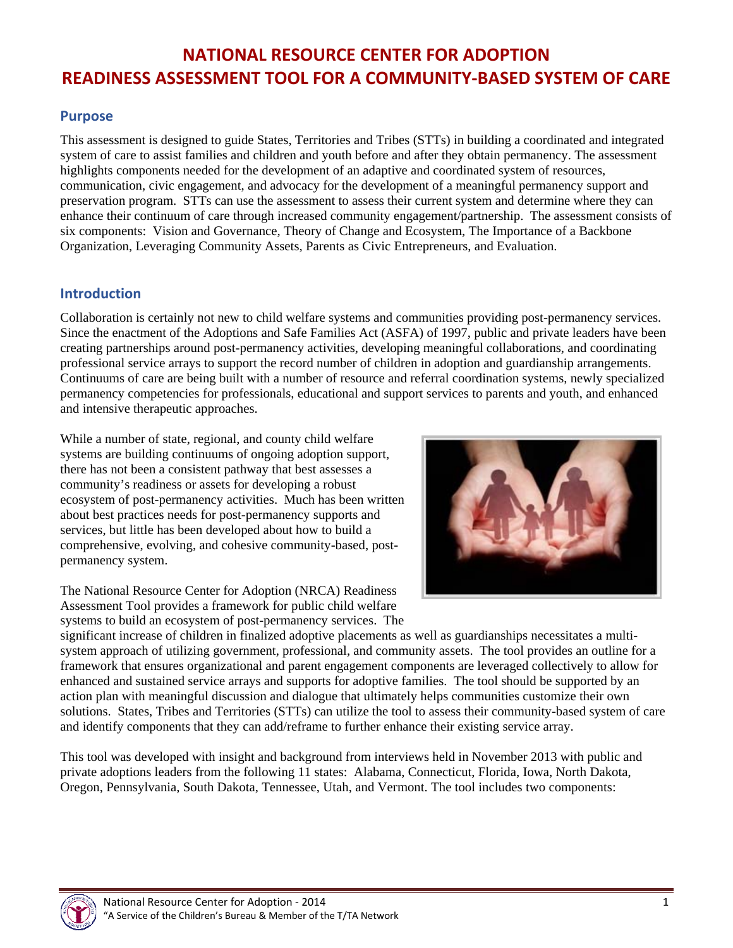# **NATIONAL RESOURCE CENTER FOR ADOPTION READINESS ASSESSMENT TOOL FOR A COMMUNITY‐BASED SYSTEM OF CARE**

#### **Purpose**

This assessment is designed to guide States, Territories and Tribes (STTs) in building a coordinated and integrated system of care to assist families and children and youth before and after they obtain permanency. The assessment highlights components needed for the development of an adaptive and coordinated system of resources, communication, civic engagement, and advocacy for the development of a meaningful permanency support and preservation program. STTs can use the assessment to assess their current system and determine where they can enhance their continuum of care through increased community engagement/partnership. The assessment consists of six components: Vision and Governance, Theory of Change and Ecosystem, The Importance of a Backbone Organization, Leveraging Community Assets, Parents as Civic Entrepreneurs, and Evaluation.

#### **Introduction**

Collaboration is certainly not new to child welfare systems and communities providing post-permanency services. Since the enactment of the Adoptions and Safe Families Act (ASFA) of 1997, public and private leaders have been creating partnerships around post-permanency activities, developing meaningful collaborations, and coordinating professional service arrays to support the record number of children in adoption and guardianship arrangements. Continuums of care are being built with a number of resource and referral coordination systems, newly specialized permanency competencies for professionals, educational and support services to parents and youth, and enhanced and intensive therapeutic approaches.

While a number of state, regional, and county child welfare systems are building continuums of ongoing adoption support, there has not been a consistent pathway that best assesses a community's readiness or assets for developing a robust ecosystem of post-permanency activities. Much has been written about best practices needs for post-permanency supports and services, but little has been developed about how to build a comprehensive, evolving, and cohesive community-based, postpermanency system.

The National Resource Center for Adoption (NRCA) Readiness Assessment Tool provides a framework for public child welfare systems to build an ecosystem of post-permanency services. The



significant increase of children in finalized adoptive placements as well as guardianships necessitates a multisystem approach of utilizing government, professional, and community assets. The tool provides an outline for a framework that ensures organizational and parent engagement components are leveraged collectively to allow for enhanced and sustained service arrays and supports for adoptive families. The tool should be supported by an action plan with meaningful discussion and dialogue that ultimately helps communities customize their own solutions. States, Tribes and Territories (STTs) can utilize the tool to assess their community-based system of care and identify components that they can add/reframe to further enhance their existing service array.

This tool was developed with insight and background from interviews held in November 2013 with public and private adoptions leaders from the following 11 states: Alabama, Connecticut, Florida, Iowa, North Dakota, Oregon, Pennsylvania, South Dakota, Tennessee, Utah, and Vermont. The tool includes two components:

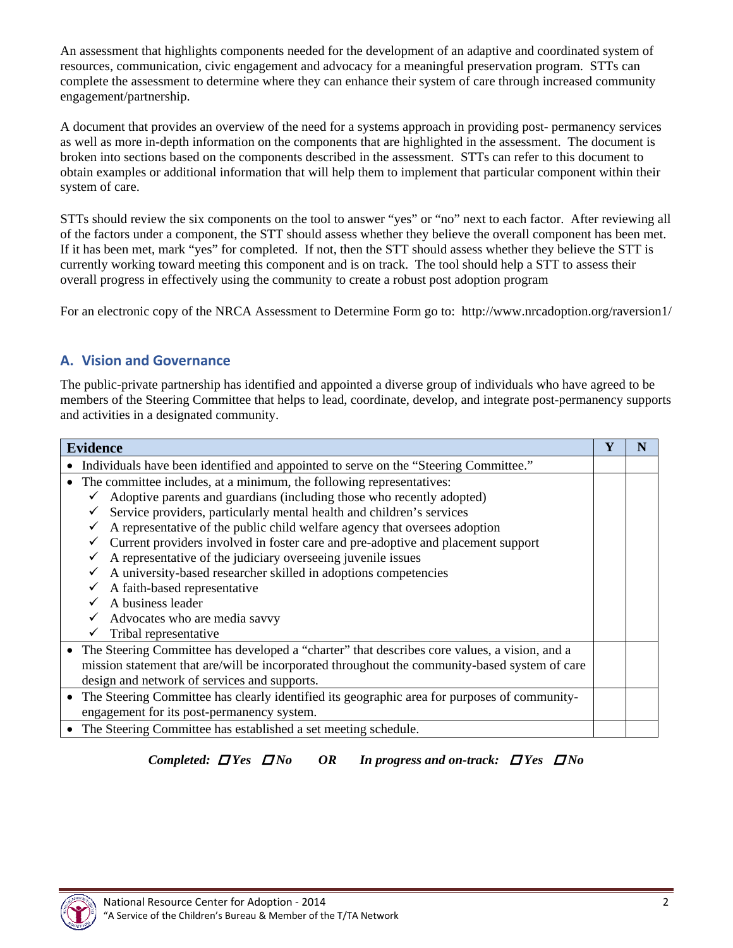An assessment that highlights components needed for the development of an adaptive and coordinated system of resources, communication, civic engagement and advocacy for a meaningful preservation program. STTs can complete the assessment to determine where they can enhance their system of care through increased community engagement/partnership.

A document that provides an overview of the need for a systems approach in providing post- permanency services as well as more in-depth information on the components that are highlighted in the assessment. The document is broken into sections based on the components described in the assessment. STTs can refer to this document to obtain examples or additional information that will help them to implement that particular component within their system of care.

STTs should review the six components on the tool to answer "yes" or "no" next to each factor. After reviewing all of the factors under a component, the STT should assess whether they believe the overall component has been met. If it has been met, mark "yes" for completed. If not, then the STT should assess whether they believe the STT is currently working toward meeting this component and is on track. The tool should help a STT to assess their overall progress in effectively using the community to create a robust post adoption program

For an electronic copy of the NRCA Assessment to Determine Form go to: http://www.nrcadoption.org/raversion1/

## **A. Vision and Governance**

The public-private partnership has identified and appointed a diverse group of individuals who have agreed to be members of the Steering Committee that helps to lead, coordinate, develop, and integrate post-permanency supports and activities in a designated community.

| <b>Evidence</b>                                                                               | $\mathbf Y$ | N |
|-----------------------------------------------------------------------------------------------|-------------|---|
| • Individuals have been identified and appointed to serve on the "Steering Committee."        |             |   |
| • The committee includes, at a minimum, the following representatives:                        |             |   |
| Adoptive parents and guardians (including those who recently adopted)                         |             |   |
| Service providers, particularly mental health and children's services<br>✓                    |             |   |
| A representative of the public child welfare agency that oversees adoption                    |             |   |
| Current providers involved in foster care and pre-adoptive and placement support              |             |   |
| A representative of the judiciary overseeing juvenile issues                                  |             |   |
| A university-based researcher skilled in adoptions competencies                               |             |   |
| A faith-based representative                                                                  |             |   |
| A business leader                                                                             |             |   |
| Advocates who are media savvy                                                                 |             |   |
| Tribal representative                                                                         |             |   |
| The Steering Committee has developed a "charter" that describes core values, a vision, and a  |             |   |
| mission statement that are/will be incorporated throughout the community-based system of care |             |   |
| design and network of services and supports.                                                  |             |   |
| The Steering Committee has clearly identified its geographic area for purposes of community-  |             |   |
| engagement for its post-permanency system.                                                    |             |   |
| The Steering Committee has established a set meeting schedule.                                |             |   |

*Completed: Yes No OR In progress and on-track: Yes No* 

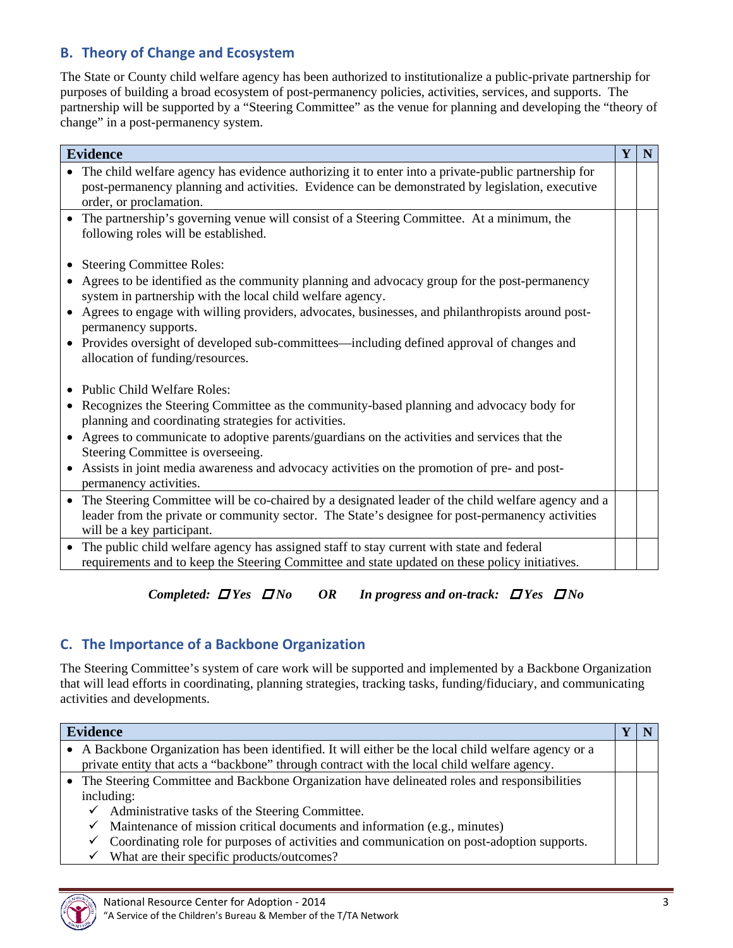## **B. Theory of Change and Ecosystem**

The State or County child welfare agency has been authorized to institutionalize a public-private partnership for purposes of building a broad ecosystem of post-permanency policies, activities, services, and supports. The partnership will be supported by a "Steering Committee" as the venue for planning and developing the "theory of change" in a post-permanency system.

| <b>Evidence</b>                                                                                                                                            | Y | N |
|------------------------------------------------------------------------------------------------------------------------------------------------------------|---|---|
| The child welfare agency has evidence authorizing it to enter into a private-public partnership for                                                        |   |   |
| post-permanency planning and activities. Evidence can be demonstrated by legislation, executive                                                            |   |   |
| order, or proclamation.                                                                                                                                    |   |   |
| • The partnership's governing venue will consist of a Steering Committee. At a minimum, the<br>following roles will be established.                        |   |   |
| • Steering Committee Roles:                                                                                                                                |   |   |
| Agrees to be identified as the community planning and advocacy group for the post-permanency<br>system in partnership with the local child welfare agency. |   |   |
| • Agrees to engage with willing providers, advocates, businesses, and philanthropists around post-<br>permanency supports.                                 |   |   |
| • Provides oversight of developed sub-committees—including defined approval of changes and<br>allocation of funding/resources.                             |   |   |
|                                                                                                                                                            |   |   |
| • Public Child Welfare Roles:                                                                                                                              |   |   |
| • Recognizes the Steering Committee as the community-based planning and advocacy body for                                                                  |   |   |
| planning and coordinating strategies for activities.                                                                                                       |   |   |
| • Agrees to communicate to adoptive parents/guardians on the activities and services that the                                                              |   |   |
| Steering Committee is overseeing.                                                                                                                          |   |   |
| • Assists in joint media awareness and advocacy activities on the promotion of pre- and post-                                                              |   |   |
| permanency activities.                                                                                                                                     |   |   |
| • The Steering Committee will be co-chaired by a designated leader of the child welfare agency and a                                                       |   |   |
| leader from the private or community sector. The State's designee for post-permanency activities                                                           |   |   |
| will be a key participant.                                                                                                                                 |   |   |
| • The public child welfare agency has assigned staff to stay current with state and federal                                                                |   |   |
| requirements and to keep the Steering Committee and state updated on these policy initiatives.                                                             |   |   |

*Completed: Yes No OR In progress and on-track: Yes No* 

## **C. The Importance of a Backbone Organization**

The Steering Committee's system of care work will be supported and implemented by a Backbone Organization that will lead efforts in coordinating, planning strategies, tracking tasks, funding/fiduciary, and communicating activities and developments.

| <b>Evidence</b>                                                                                      |  |
|------------------------------------------------------------------------------------------------------|--|
| • A Backbone Organization has been identified. It will either be the local child welfare agency or a |  |
| private entity that acts a "backbone" through contract with the local child welfare agency.          |  |
| The Steering Committee and Backbone Organization have delineated roles and responsibilities          |  |
| including:                                                                                           |  |
| Administrative tasks of the Steering Committee.<br>$\checkmark$                                      |  |
| Maintenance of mission critical documents and information (e.g., minutes)<br>$\checkmark$            |  |
| Coordinating role for purposes of activities and communication on post-adoption supports.<br>✓       |  |
| What are their specific products/outcomes?                                                           |  |

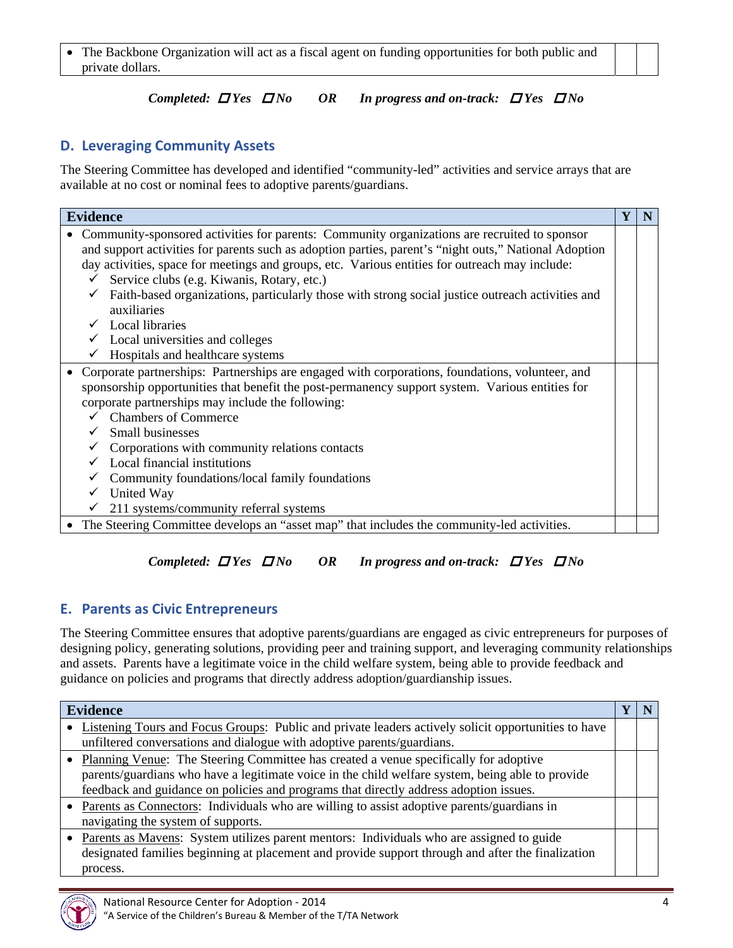The Backbone Organization will act as a fiscal agent on funding opportunities for both public and private dollars.

#### *Completed: Yes No OR In progress and on-track: Yes No*

#### **D. Leveraging Community Assets**

The Steering Committee has developed and identified "community-led" activities and service arrays that are available at no cost or nominal fees to adoptive parents/guardians.

| <b>Evidence</b>                                                                                                                                                                                                                                                                                                                                                                                                                                                                                                                                                            | Y |  |
|----------------------------------------------------------------------------------------------------------------------------------------------------------------------------------------------------------------------------------------------------------------------------------------------------------------------------------------------------------------------------------------------------------------------------------------------------------------------------------------------------------------------------------------------------------------------------|---|--|
| Community-sponsored activities for parents: Community organizations are recruited to sponsor<br>and support activities for parents such as adoption parties, parent's "night outs," National Adoption<br>day activities, space for meetings and groups, etc. Various entities for outreach may include:<br>Service clubs (e.g. Kiwanis, Rotary, etc.)<br>✓<br>Faith-based organizations, particularly those with strong social justice outreach activities and<br>$\checkmark$<br>auxiliaries<br><b>Local libraries</b><br>Local universities and colleges<br>$\checkmark$ |   |  |
| Hospitals and healthcare systems                                                                                                                                                                                                                                                                                                                                                                                                                                                                                                                                           |   |  |
| Corporate partnerships: Partnerships are engaged with corporations, foundations, volunteer, and<br>sponsorship opportunities that benefit the post-permanency support system. Various entities for<br>corporate partnerships may include the following:                                                                                                                                                                                                                                                                                                                    |   |  |
| <b>Chambers of Commerce</b>                                                                                                                                                                                                                                                                                                                                                                                                                                                                                                                                                |   |  |
| Small businesses                                                                                                                                                                                                                                                                                                                                                                                                                                                                                                                                                           |   |  |
| Corporations with community relations contacts                                                                                                                                                                                                                                                                                                                                                                                                                                                                                                                             |   |  |
| Local financial institutions                                                                                                                                                                                                                                                                                                                                                                                                                                                                                                                                               |   |  |
| Community foundations/local family foundations<br>✓                                                                                                                                                                                                                                                                                                                                                                                                                                                                                                                        |   |  |
| United Way<br>✓                                                                                                                                                                                                                                                                                                                                                                                                                                                                                                                                                            |   |  |
| 211 systems/community referral systems                                                                                                                                                                                                                                                                                                                                                                                                                                                                                                                                     |   |  |
| • The Steering Committee develops an "asset map" that includes the community-led activities.                                                                                                                                                                                                                                                                                                                                                                                                                                                                               |   |  |

#### *Completed: Yes No OR In progress and on-track: Yes No*

#### **E. Parents as Civic Entrepreneurs**

The Steering Committee ensures that adoptive parents/guardians are engaged as civic entrepreneurs for purposes of designing policy, generating solutions, providing peer and training support, and leveraging community relationships and assets. Parents have a legitimate voice in the child welfare system, being able to provide feedback and guidance on policies and programs that directly address adoption/guardianship issues.

| <b>Evidence</b>                                                                                     |  |
|-----------------------------------------------------------------------------------------------------|--|
| Listening Tours and Focus Groups: Public and private leaders actively solicit opportunities to have |  |
| unfiltered conversations and dialogue with adoptive parents/guardians.                              |  |
| • Planning Venue: The Steering Committee has created a venue specifically for adoptive              |  |
| parents/guardians who have a legitimate voice in the child welfare system, being able to provide    |  |
| feedback and guidance on policies and programs that directly address adoption issues.               |  |
| Parents as Connectors: Individuals who are willing to assist adoptive parents/guardians in          |  |
| navigating the system of supports.                                                                  |  |
| Parents as Mavens: System utilizes parent mentors: Individuals who are assigned to guide            |  |
| designated families beginning at placement and provide support through and after the finalization   |  |
| process.                                                                                            |  |

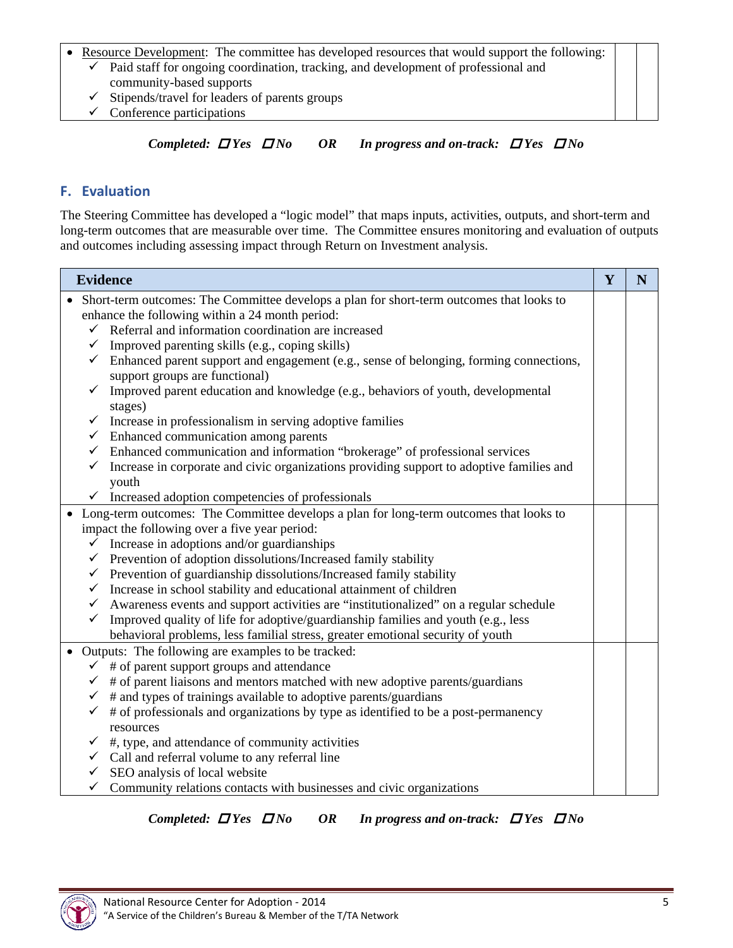#### • Resource Development: The committee has developed resources that would support the following:

- $\checkmark$  Paid staff for ongoing coordination, tracking, and development of professional and community-based supports
- $\checkmark$  Stipends/travel for leaders of parents groups
- $\checkmark$  Conference participations

#### *Completed: Yes No OR In progress and on-track: Yes No*

#### **F. Evaluation**

The Steering Committee has developed a "logic model" that maps inputs, activities, outputs, and short-term and long-term outcomes that are measurable over time. The Committee ensures monitoring and evaluation of outputs and outcomes including assessing impact through Return on Investment analysis.

| <b>Evidence</b>                                                                                                                          | Y | N |
|------------------------------------------------------------------------------------------------------------------------------------------|---|---|
| Short-term outcomes: The Committee develops a plan for short-term outcomes that looks to                                                 |   |   |
| enhance the following within a 24 month period:                                                                                          |   |   |
| Referral and information coordination are increased<br>$\checkmark$                                                                      |   |   |
| Improved parenting skills (e.g., coping skills)<br>$\checkmark$                                                                          |   |   |
| $\checkmark$<br>Enhanced parent support and engagement (e.g., sense of belonging, forming connections,<br>support groups are functional) |   |   |
| Improved parent education and knowledge (e.g., behaviors of youth, developmental<br>stages)                                              |   |   |
| Increase in professionalism in serving adoptive families<br>$\checkmark$                                                                 |   |   |
| Enhanced communication among parents<br>$\checkmark$                                                                                     |   |   |
| Enhanced communication and information "brokerage" of professional services<br>$\checkmark$                                              |   |   |
| Increase in corporate and civic organizations providing support to adoptive families and<br>$\checkmark$                                 |   |   |
| youth                                                                                                                                    |   |   |
| $\checkmark$ Increased adoption competencies of professionals                                                                            |   |   |
| • Long-term outcomes: The Committee develops a plan for long-term outcomes that looks to                                                 |   |   |
| impact the following over a five year period:                                                                                            |   |   |
| Increase in adoptions and/or guardianships<br>✓                                                                                          |   |   |
| Prevention of adoption dissolutions/Increased family stability<br>$\checkmark$                                                           |   |   |
| Prevention of guardianship dissolutions/Increased family stability<br>$\checkmark$                                                       |   |   |
| Increase in school stability and educational attainment of children<br>$\checkmark$                                                      |   |   |
| Awareness events and support activities are "institutionalized" on a regular schedule<br>$\checkmark$                                    |   |   |
| Improved quality of life for adoptive/guardianship families and youth (e.g., less<br>$\checkmark$                                        |   |   |
| behavioral problems, less familial stress, greater emotional security of youth                                                           |   |   |
| Outputs: The following are examples to be tracked:<br>$\bullet$                                                                          |   |   |
| # of parent support groups and attendance                                                                                                |   |   |
| # of parent liaisons and mentors matched with new adoptive parents/guardians<br>$\checkmark$                                             |   |   |
| # and types of trainings available to adoptive parents/guardians<br>$\checkmark$                                                         |   |   |
| # of professionals and organizations by type as identified to be a post-permanency<br>$\checkmark$                                       |   |   |
| resources                                                                                                                                |   |   |
| #, type, and attendance of community activities<br>✓                                                                                     |   |   |
| Call and referral volume to any referral line<br>✓                                                                                       |   |   |
| SEO analysis of local website                                                                                                            |   |   |
| Community relations contacts with businesses and civic organizations<br>✓                                                                |   |   |

*Completed: Yes No OR In progress and on-track: Yes No* 

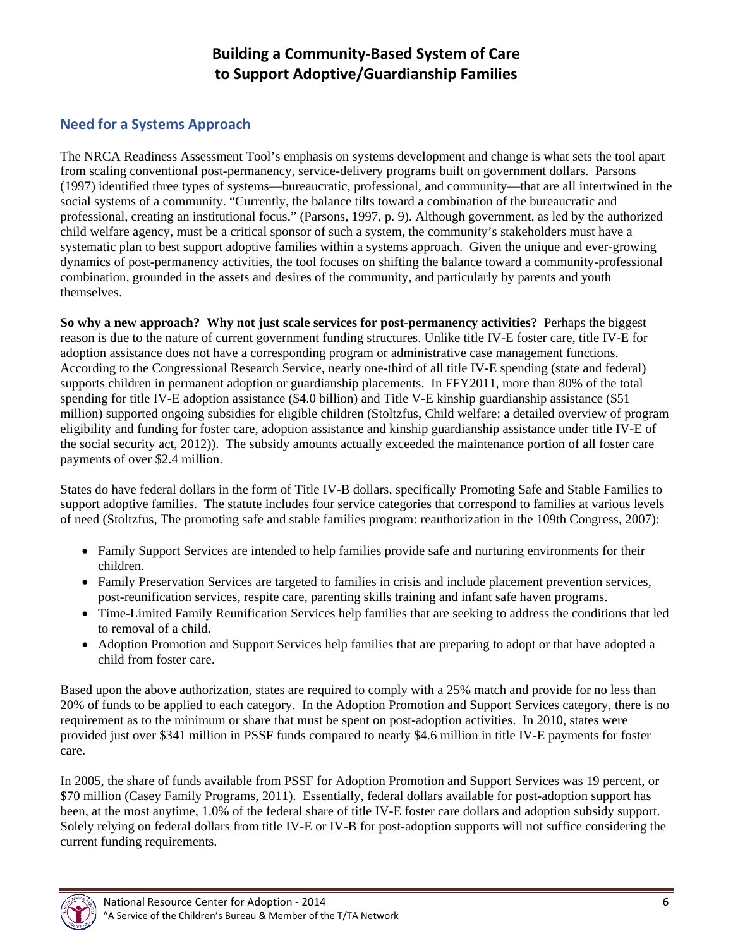## **Building a Community‐Based System of Care to Support Adoptive/Guardianship Families**

## **Need for a Systems Approach**

The NRCA Readiness Assessment Tool's emphasis on systems development and change is what sets the tool apart from scaling conventional post-permanency, service-delivery programs built on government dollars. Parsons (1997) identified three types of systems—bureaucratic, professional, and community—that are all intertwined in the social systems of a community. "Currently, the balance tilts toward a combination of the bureaucratic and professional, creating an institutional focus," (Parsons, 1997, p. 9). Although government, as led by the authorized child welfare agency, must be a critical sponsor of such a system, the community's stakeholders must have a systematic plan to best support adoptive families within a systems approach. Given the unique and ever-growing dynamics of post-permanency activities, the tool focuses on shifting the balance toward a community-professional combination, grounded in the assets and desires of the community, and particularly by parents and youth themselves.

**So why a new approach? Why not just scale services for post-permanency activities?** Perhaps the biggest reason is due to the nature of current government funding structures. Unlike title IV-E foster care, title IV-E for adoption assistance does not have a corresponding program or administrative case management functions. According to the Congressional Research Service, nearly one-third of all title IV-E spending (state and federal) supports children in permanent adoption or guardianship placements. In FFY2011, more than 80% of the total spending for title IV-E adoption assistance (\$4.0 billion) and Title V-E kinship guardianship assistance (\$51 million) supported ongoing subsidies for eligible children (Stoltzfus, Child welfare: a detailed overview of program eligibility and funding for foster care, adoption assistance and kinship guardianship assistance under title IV-E of the social security act, 2012)). The subsidy amounts actually exceeded the maintenance portion of all foster care payments of over \$2.4 million.

States do have federal dollars in the form of Title IV-B dollars, specifically Promoting Safe and Stable Families to support adoptive families. The statute includes four service categories that correspond to families at various levels of need (Stoltzfus, The promoting safe and stable families program: reauthorization in the 109th Congress, 2007):

- Family Support Services are intended to help families provide safe and nurturing environments for their children.
- Family Preservation Services are targeted to families in crisis and include placement prevention services, post-reunification services, respite care, parenting skills training and infant safe haven programs.
- Time-Limited Family Reunification Services help families that are seeking to address the conditions that led to removal of a child.
- Adoption Promotion and Support Services help families that are preparing to adopt or that have adopted a child from foster care.

Based upon the above authorization, states are required to comply with a 25% match and provide for no less than 20% of funds to be applied to each category. In the Adoption Promotion and Support Services category, there is no requirement as to the minimum or share that must be spent on post-adoption activities. In 2010, states were provided just over \$341 million in PSSF funds compared to nearly \$4.6 million in title IV-E payments for foster care.

In 2005, the share of funds available from PSSF for Adoption Promotion and Support Services was 19 percent, or \$70 million (Casey Family Programs, 2011). Essentially, federal dollars available for post-adoption support has been, at the most anytime, 1.0% of the federal share of title IV-E foster care dollars and adoption subsidy support. Solely relying on federal dollars from title IV-E or IV-B for post-adoption supports will not suffice considering the current funding requirements.

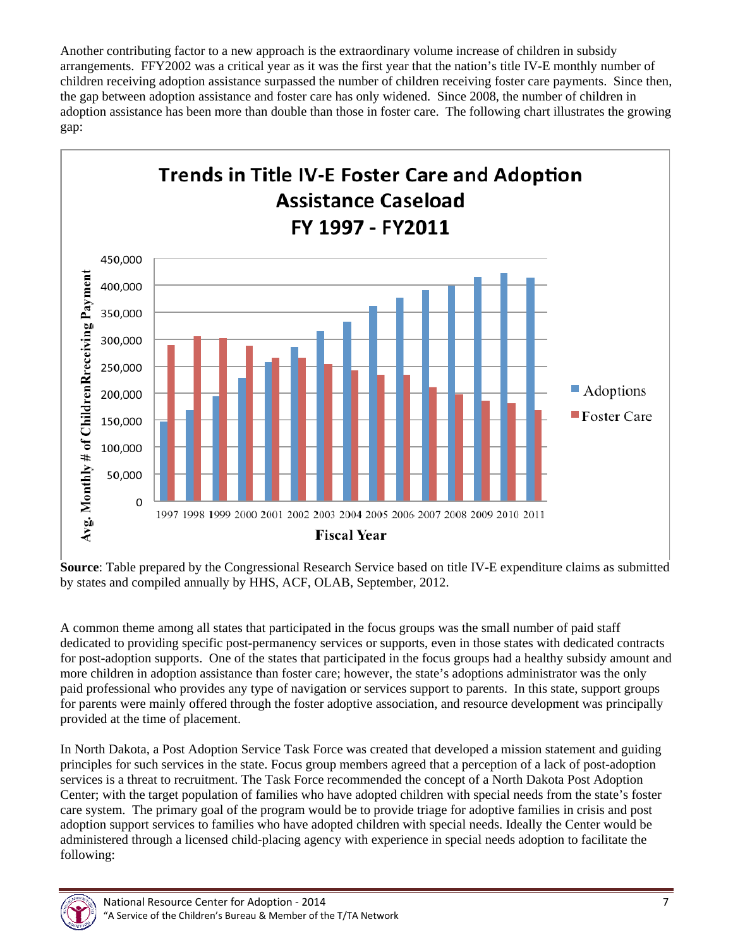Another contributing factor to a new approach is the extraordinary volume increase of children in subsidy arrangements. FFY2002 was a critical year as it was the first year that the nation's title IV-E monthly number of children receiving adoption assistance surpassed the number of children receiving foster care payments. Since then, the gap between adoption assistance and foster care has only widened. Since 2008, the number of children in adoption assistance has been more than double than those in foster care. The following chart illustrates the growing gap:



**Source**: Table prepared by the Congressional Research Service based on title IV-E expenditure claims as submitted by states and compiled annually by HHS, ACF, OLAB, September, 2012.

A common theme among all states that participated in the focus groups was the small number of paid staff dedicated to providing specific post-permanency services or supports, even in those states with dedicated contracts for post-adoption supports. One of the states that participated in the focus groups had a healthy subsidy amount and more children in adoption assistance than foster care; however, the state's adoptions administrator was the only paid professional who provides any type of navigation or services support to parents. In this state, support groups for parents were mainly offered through the foster adoptive association, and resource development was principally provided at the time of placement.

In North Dakota, a Post Adoption Service Task Force was created that developed a mission statement and guiding principles for such services in the state. Focus group members agreed that a perception of a lack of post-adoption services is a threat to recruitment. The Task Force recommended the concept of a North Dakota Post Adoption Center; with the target population of families who have adopted children with special needs from the state's foster care system. The primary goal of the program would be to provide triage for adoptive families in crisis and post adoption support services to families who have adopted children with special needs. Ideally the Center would be administered through a licensed child-placing agency with experience in special needs adoption to facilitate the following:

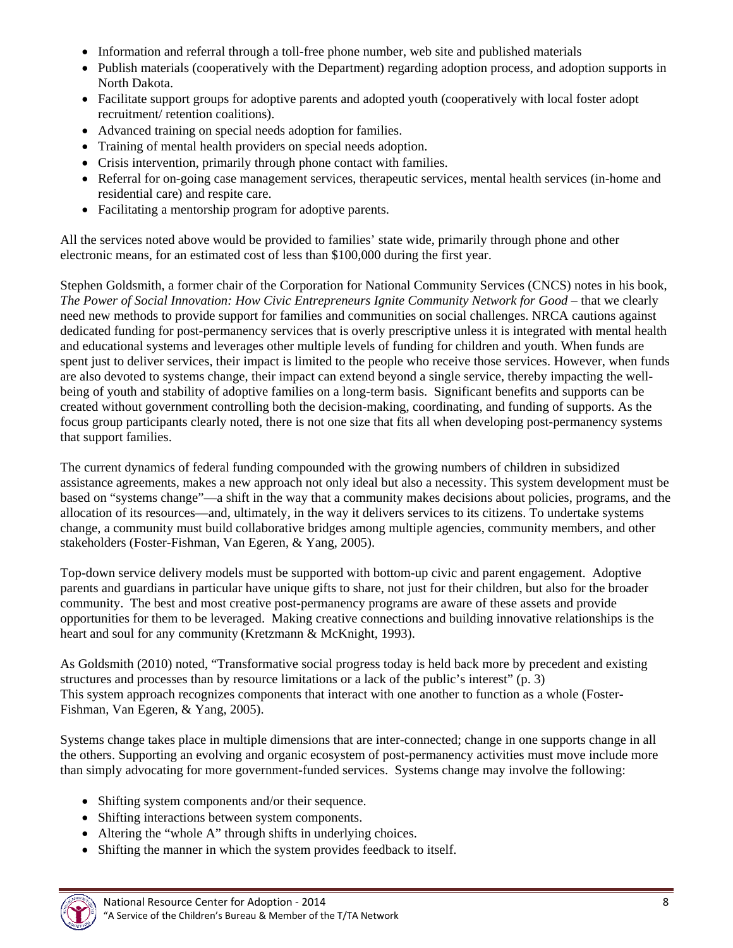- Information and referral through a toll-free phone number, web site and published materials
- Publish materials (cooperatively with the Department) regarding adoption process, and adoption supports in North Dakota.
- Facilitate support groups for adoptive parents and adopted youth (cooperatively with local foster adopt recruitment/ retention coalitions).
- Advanced training on special needs adoption for families.
- Training of mental health providers on special needs adoption.
- Crisis intervention, primarily through phone contact with families.
- Referral for on-going case management services, therapeutic services, mental health services (in-home and residential care) and respite care.
- Facilitating a mentorship program for adoptive parents.

All the services noted above would be provided to families' state wide, primarily through phone and other electronic means, for an estimated cost of less than \$100,000 during the first year.

Stephen Goldsmith, a former chair of the Corporation for National Community Services (CNCS) notes in his book, *The Power of Social Innovation: How Civic Entrepreneurs Ignite Community Network for Good – that we clearly* need new methods to provide support for families and communities on social challenges. NRCA cautions against dedicated funding for post-permanency services that is overly prescriptive unless it is integrated with mental health and educational systems and leverages other multiple levels of funding for children and youth. When funds are spent just to deliver services, their impact is limited to the people who receive those services. However, when funds are also devoted to systems change, their impact can extend beyond a single service, thereby impacting the wellbeing of youth and stability of adoptive families on a long-term basis. Significant benefits and supports can be created without government controlling both the decision-making, coordinating, and funding of supports. As the focus group participants clearly noted, there is not one size that fits all when developing post-permanency systems that support families.

The current dynamics of federal funding compounded with the growing numbers of children in subsidized assistance agreements, makes a new approach not only ideal but also a necessity. This system development must be based on "systems change"—a shift in the way that a community makes decisions about policies, programs, and the allocation of its resources—and, ultimately, in the way it delivers services to its citizens. To undertake systems change, a community must build collaborative bridges among multiple agencies, community members, and other stakeholders (Foster-Fishman, Van Egeren, & Yang, 2005).

Top-down service delivery models must be supported with bottom-up civic and parent engagement. Adoptive parents and guardians in particular have unique gifts to share, not just for their children, but also for the broader community. The best and most creative post-permanency programs are aware of these assets and provide opportunities for them to be leveraged. Making creative connections and building innovative relationships is the heart and soul for any community (Kretzmann & McKnight, 1993).

As Goldsmith (2010) noted, "Transformative social progress today is held back more by precedent and existing structures and processes than by resource limitations or a lack of the public's interest" (p. 3) This system approach recognizes components that interact with one another to function as a whole (Foster-Fishman, Van Egeren, & Yang, 2005).

Systems change takes place in multiple dimensions that are inter-connected; change in one supports change in all the others. Supporting an evolving and organic ecosystem of post-permanency activities must move include more than simply advocating for more government-funded services. Systems change may involve the following:

- Shifting system components and/or their sequence.
- Shifting interactions between system components.
- Altering the "whole A" through shifts in underlying choices.
- Shifting the manner in which the system provides feedback to itself.

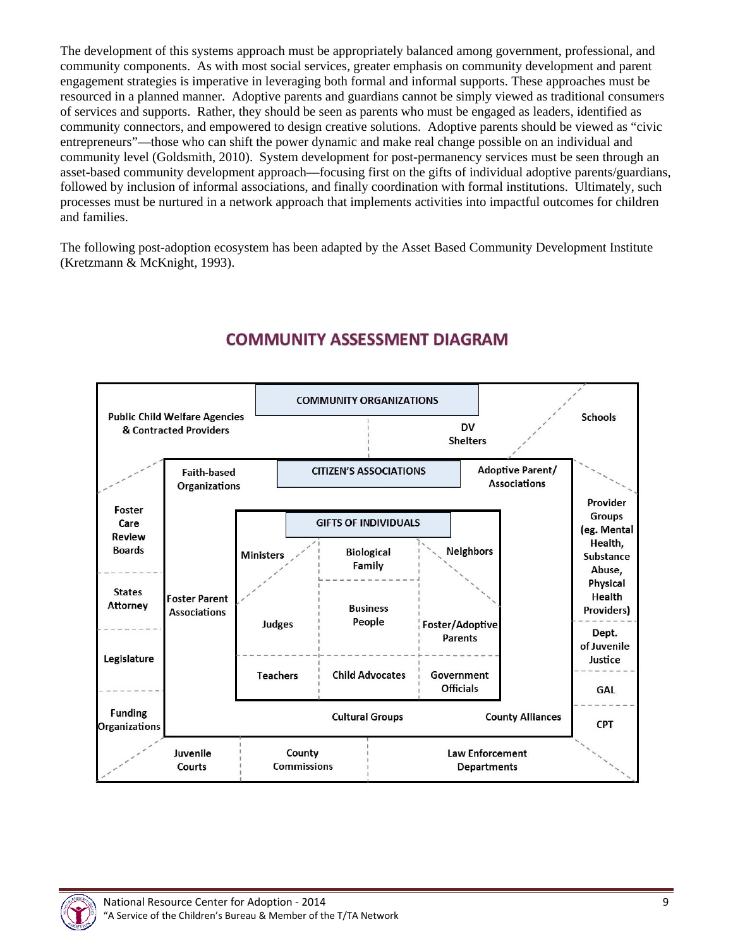The development of this systems approach must be appropriately balanced among government, professional, and community components. As with most social services, greater emphasis on community development and parent engagement strategies is imperative in leveraging both formal and informal supports. These approaches must be resourced in a planned manner. Adoptive parents and guardians cannot be simply viewed as traditional consumers of services and supports. Rather, they should be seen as parents who must be engaged as leaders, identified as community connectors, and empowered to design creative solutions. Adoptive parents should be viewed as "civic entrepreneurs"—those who can shift the power dynamic and make real change possible on an individual and community level (Goldsmith, 2010). System development for post-permanency services must be seen through an asset-based community development approach—focusing first on the gifts of individual adoptive parents/guardians, followed by inclusion of informal associations, and finally coordination with formal institutions. Ultimately, such processes must be nurtured in a network approach that implements activities into impactful outcomes for children and families.

The following post-adoption ecosystem has been adapted by the Asset Based Community Development Institute (Kretzmann & McKnight, 1993).



# **COMMUNITY ASSESSMENT DIAGRAM**

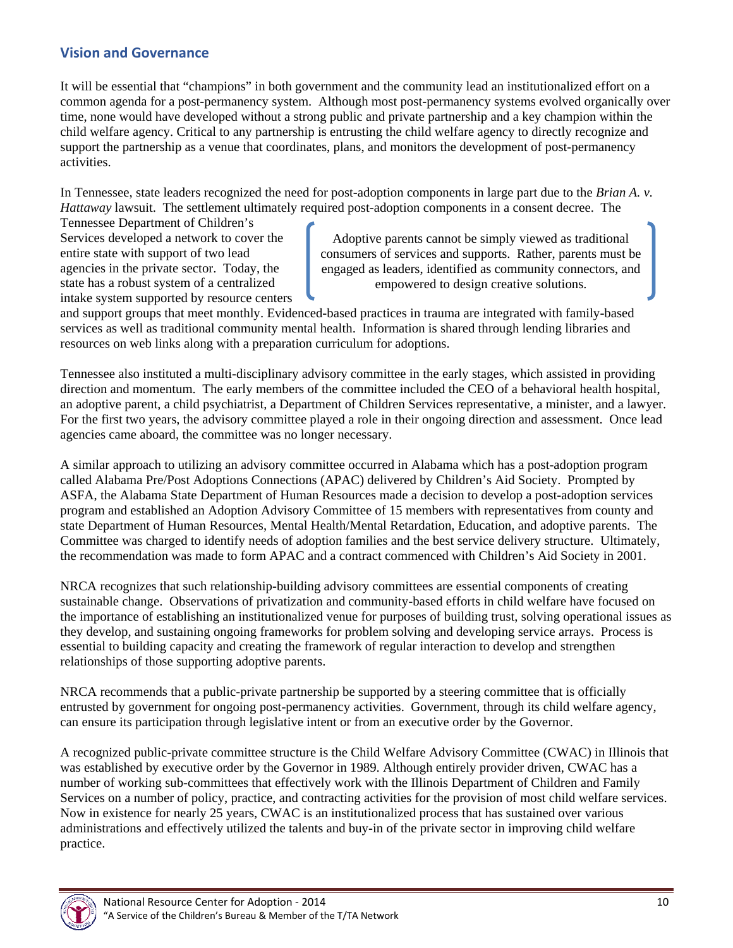## **Vision and Governance**

It will be essential that "champions" in both government and the community lead an institutionalized effort on a common agenda for a post-permanency system. Although most post-permanency systems evolved organically over time, none would have developed without a strong public and private partnership and a key champion within the child welfare agency. Critical to any partnership is entrusting the child welfare agency to directly recognize and support the partnership as a venue that coordinates, plans, and monitors the development of post-permanency activities.

In Tennessee, state leaders recognized the need for post-adoption components in large part due to the *Brian A. v. Hattaway* lawsuit. The settlement ultimately required post-adoption components in a consent decree. The

Tennessee Department of Children's Services developed a network to cover the entire state with support of two lead agencies in the private sector. Today, the state has a robust system of a centralized intake system supported by resource centers

Adoptive parents cannot be simply viewed as traditional consumers of services and supports. Rather, parents must be engaged as leaders, identified as community connectors, and empowered to design creative solutions.

and support groups that meet monthly. Evidenced-based practices in trauma are integrated with family-based services as well as traditional community mental health. Information is shared through lending libraries and resources on web links along with a preparation curriculum for adoptions.

Tennessee also instituted a multi-disciplinary advisory committee in the early stages, which assisted in providing direction and momentum. The early members of the committee included the CEO of a behavioral health hospital, an adoptive parent, a child psychiatrist, a Department of Children Services representative, a minister, and a lawyer. For the first two years, the advisory committee played a role in their ongoing direction and assessment. Once lead agencies came aboard, the committee was no longer necessary.

A similar approach to utilizing an advisory committee occurred in Alabama which has a post-adoption program called Alabama Pre/Post Adoptions Connections (APAC) delivered by Children's Aid Society. Prompted by ASFA, the Alabama State Department of Human Resources made a decision to develop a post-adoption services program and established an Adoption Advisory Committee of 15 members with representatives from county and state Department of Human Resources, Mental Health/Mental Retardation, Education, and adoptive parents. The Committee was charged to identify needs of adoption families and the best service delivery structure. Ultimately, the recommendation was made to form APAC and a contract commenced with Children's Aid Society in 2001.

NRCA recognizes that such relationship-building advisory committees are essential components of creating sustainable change. Observations of privatization and community-based efforts in child welfare have focused on the importance of establishing an institutionalized venue for purposes of building trust, solving operational issues as they develop, and sustaining ongoing frameworks for problem solving and developing service arrays. Process is essential to building capacity and creating the framework of regular interaction to develop and strengthen relationships of those supporting adoptive parents.

NRCA recommends that a public-private partnership be supported by a steering committee that is officially entrusted by government for ongoing post-permanency activities. Government, through its child welfare agency, can ensure its participation through legislative intent or from an executive order by the Governor.

A recognized public-private committee structure is the Child Welfare Advisory Committee (CWAC) in Illinois that was established by executive order by the Governor in 1989. Although entirely provider driven, CWAC has a number of working sub-committees that effectively work with the Illinois Department of Children and Family Services on a number of policy, practice, and contracting activities for the provision of most child welfare services. Now in existence for nearly 25 years, CWAC is an institutionalized process that has sustained over various administrations and effectively utilized the talents and buy-in of the private sector in improving child welfare practice.

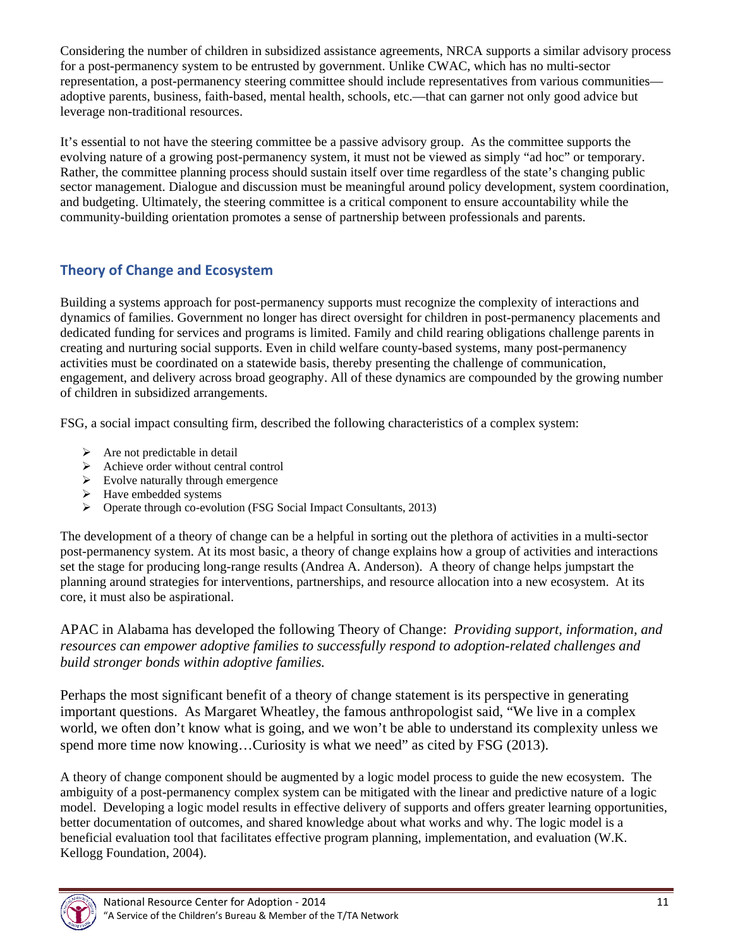Considering the number of children in subsidized assistance agreements, NRCA supports a similar advisory process for a post-permanency system to be entrusted by government. Unlike CWAC, which has no multi-sector representation, a post-permanency steering committee should include representatives from various communities adoptive parents, business, faith-based, mental health, schools, etc.—that can garner not only good advice but leverage non-traditional resources.

It's essential to not have the steering committee be a passive advisory group. As the committee supports the evolving nature of a growing post-permanency system, it must not be viewed as simply "ad hoc" or temporary. Rather, the committee planning process should sustain itself over time regardless of the state's changing public sector management. Dialogue and discussion must be meaningful around policy development, system coordination, and budgeting. Ultimately, the steering committee is a critical component to ensure accountability while the community-building orientation promotes a sense of partnership between professionals and parents.

## **Theory of Change and Ecosystem**

Building a systems approach for post-permanency supports must recognize the complexity of interactions and dynamics of families. Government no longer has direct oversight for children in post-permanency placements and dedicated funding for services and programs is limited. Family and child rearing obligations challenge parents in creating and nurturing social supports. Even in child welfare county-based systems, many post-permanency activities must be coordinated on a statewide basis, thereby presenting the challenge of communication, engagement, and delivery across broad geography. All of these dynamics are compounded by the growing number of children in subsidized arrangements.

FSG, a social impact consulting firm, described the following characteristics of a complex system:

- $\triangleright$  Are not predictable in detail
- $\triangleright$  Achieve order without central control
- $\triangleright$  Evolve naturally through emergence
- > Have embedded systems
- $\triangleright$  Operate through co-evolution (FSG Social Impact Consultants, 2013)

The development of a theory of change can be a helpful in sorting out the plethora of activities in a multi-sector post-permanency system. At its most basic, a theory of change explains how a group of activities and interactions set the stage for producing long-range results (Andrea A. Anderson). A theory of change helps jumpstart the planning around strategies for interventions, partnerships, and resource allocation into a new ecosystem. At its core, it must also be aspirational.

APAC in Alabama has developed the following Theory of Change: *Providing support, information, and resources can empower adoptive families to successfully respond to adoption-related challenges and build stronger bonds within adoptive families.* 

Perhaps the most significant benefit of a theory of change statement is its perspective in generating important questions. As Margaret Wheatley, the famous anthropologist said, "We live in a complex world, we often don't know what is going, and we won't be able to understand its complexity unless we spend more time now knowing...Curiosity is what we need" as cited by FSG (2013).

A theory of change component should be augmented by a logic model process to guide the new ecosystem. The ambiguity of a post-permanency complex system can be mitigated with the linear and predictive nature of a logic model. Developing a logic model results in effective delivery of supports and offers greater learning opportunities, better documentation of outcomes, and shared knowledge about what works and why. The logic model is a beneficial evaluation tool that facilitates effective program planning, implementation, and evaluation (W.K. Kellogg Foundation, 2004).

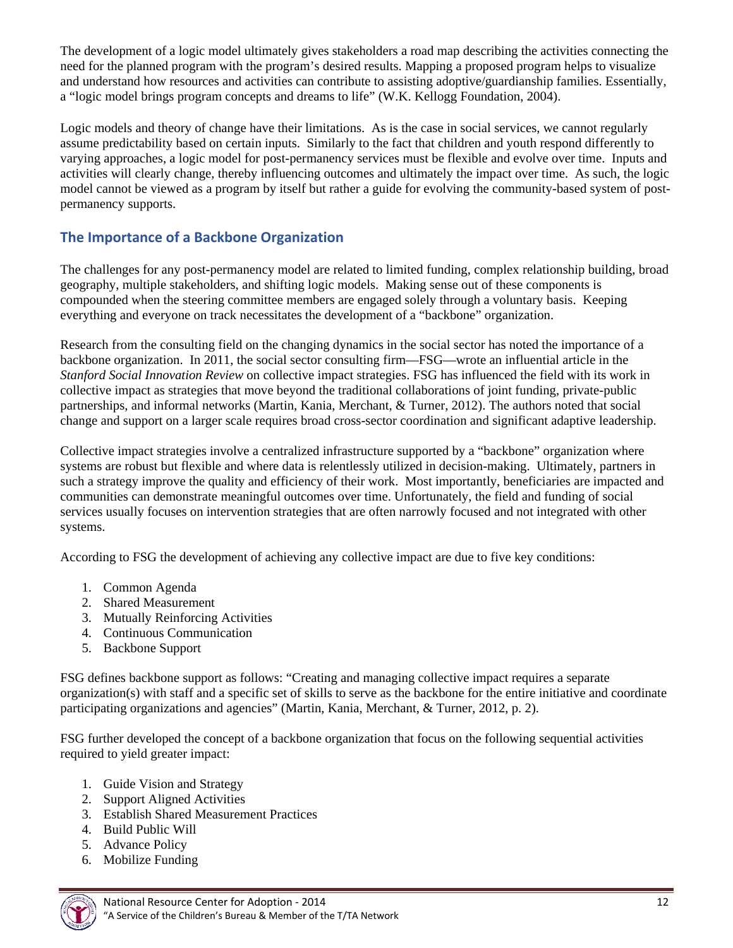The development of a logic model ultimately gives stakeholders a road map describing the activities connecting the need for the planned program with the program's desired results. Mapping a proposed program helps to visualize and understand how resources and activities can contribute to assisting adoptive/guardianship families. Essentially, a "logic model brings program concepts and dreams to life" (W.K. Kellogg Foundation, 2004).

Logic models and theory of change have their limitations. As is the case in social services, we cannot regularly assume predictability based on certain inputs. Similarly to the fact that children and youth respond differently to varying approaches, a logic model for post-permanency services must be flexible and evolve over time. Inputs and activities will clearly change, thereby influencing outcomes and ultimately the impact over time. As such, the logic model cannot be viewed as a program by itself but rather a guide for evolving the community-based system of postpermanency supports.

## **The Importance of a Backbone Organization**

The challenges for any post-permanency model are related to limited funding, complex relationship building, broad geography, multiple stakeholders, and shifting logic models. Making sense out of these components is compounded when the steering committee members are engaged solely through a voluntary basis. Keeping everything and everyone on track necessitates the development of a "backbone" organization.

Research from the consulting field on the changing dynamics in the social sector has noted the importance of a backbone organization. In 2011, the social sector consulting firm—FSG—wrote an influential article in the *Stanford Social Innovation Review* on collective impact strategies. FSG has influenced the field with its work in collective impact as strategies that move beyond the traditional collaborations of joint funding, private-public partnerships, and informal networks (Martin, Kania, Merchant, & Turner, 2012). The authors noted that social change and support on a larger scale requires broad cross-sector coordination and significant adaptive leadership.

Collective impact strategies involve a centralized infrastructure supported by a "backbone" organization where systems are robust but flexible and where data is relentlessly utilized in decision-making. Ultimately, partners in such a strategy improve the quality and efficiency of their work. Most importantly, beneficiaries are impacted and communities can demonstrate meaningful outcomes over time. Unfortunately, the field and funding of social services usually focuses on intervention strategies that are often narrowly focused and not integrated with other systems.

According to FSG the development of achieving any collective impact are due to five key conditions:

- 1. Common Agenda
- 2. Shared Measurement
- 3. Mutually Reinforcing Activities
- 4. Continuous Communication
- 5. Backbone Support

FSG defines backbone support as follows: "Creating and managing collective impact requires a separate organization(s) with staff and a specific set of skills to serve as the backbone for the entire initiative and coordinate participating organizations and agencies" (Martin, Kania, Merchant, & Turner, 2012, p. 2).

FSG further developed the concept of a backbone organization that focus on the following sequential activities required to yield greater impact:

- 1. Guide Vision and Strategy
- 2. Support Aligned Activities
- 3. Establish Shared Measurement Practices
- 4. Build Public Will
- 5. Advance Policy
- 6. Mobilize Funding

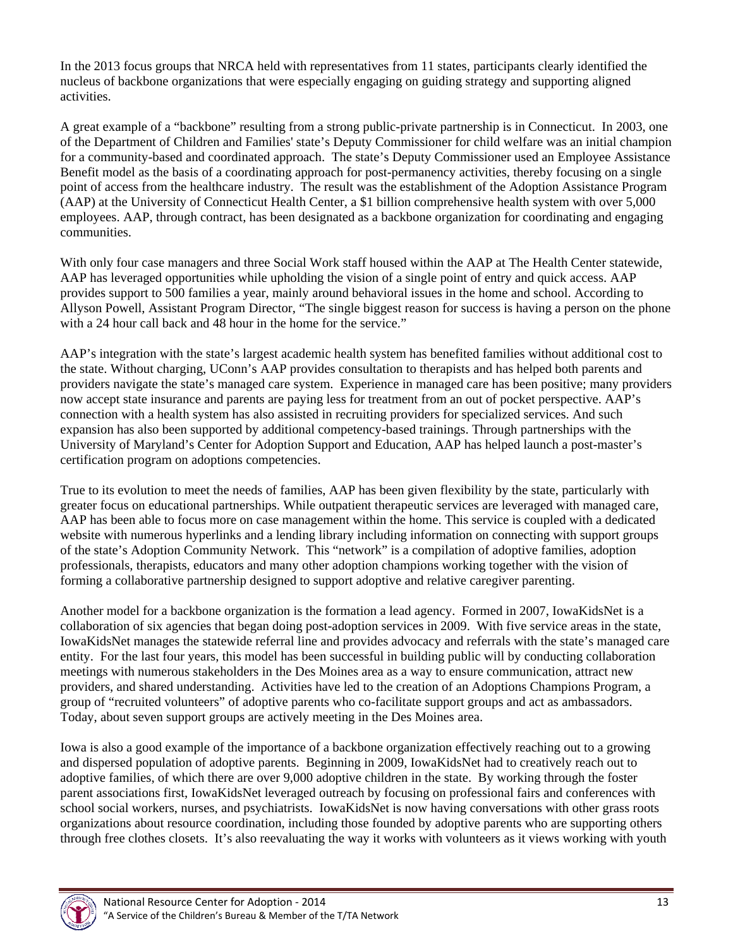In the 2013 focus groups that NRCA held with representatives from 11 states, participants clearly identified the nucleus of backbone organizations that were especially engaging on guiding strategy and supporting aligned activities.

A great example of a "backbone" resulting from a strong public-private partnership is in Connecticut. In 2003, one of the Department of Children and Families' state's Deputy Commissioner for child welfare was an initial champion for a community-based and coordinated approach. The state's Deputy Commissioner used an Employee Assistance Benefit model as the basis of a coordinating approach for post-permanency activities, thereby focusing on a single point of access from the healthcare industry. The result was the establishment of the Adoption Assistance Program (AAP) at the University of Connecticut Health Center, a \$1 billion comprehensive health system with over 5,000 employees. AAP, through contract, has been designated as a backbone organization for coordinating and engaging communities.

With only four case managers and three Social Work staff housed within the AAP at The Health Center statewide, AAP has leveraged opportunities while upholding the vision of a single point of entry and quick access. AAP provides support to 500 families a year, mainly around behavioral issues in the home and school. According to Allyson Powell, Assistant Program Director, "The single biggest reason for success is having a person on the phone with a 24 hour call back and 48 hour in the home for the service."

AAP's integration with the state's largest academic health system has benefited families without additional cost to the state. Without charging, UConn's AAP provides consultation to therapists and has helped both parents and providers navigate the state's managed care system. Experience in managed care has been positive; many providers now accept state insurance and parents are paying less for treatment from an out of pocket perspective. AAP's connection with a health system has also assisted in recruiting providers for specialized services. And such expansion has also been supported by additional competency-based trainings. Through partnerships with the University of Maryland's Center for Adoption Support and Education, AAP has helped launch a post-master's certification program on adoptions competencies.

True to its evolution to meet the needs of families, AAP has been given flexibility by the state, particularly with greater focus on educational partnerships. While outpatient therapeutic services are leveraged with managed care, AAP has been able to focus more on case management within the home. This service is coupled with a dedicated website with numerous hyperlinks and a lending library including information on connecting with support groups of the state's Adoption Community Network. This "network" is a compilation of adoptive families, adoption professionals, therapists, educators and many other adoption champions working together with the vision of forming a collaborative partnership designed to support adoptive and relative caregiver parenting.

Another model for a backbone organization is the formation a lead agency. Formed in 2007, IowaKidsNet is a collaboration of six agencies that began doing post-adoption services in 2009. With five service areas in the state, IowaKidsNet manages the statewide referral line and provides advocacy and referrals with the state's managed care entity. For the last four years, this model has been successful in building public will by conducting collaboration meetings with numerous stakeholders in the Des Moines area as a way to ensure communication, attract new providers, and shared understanding. Activities have led to the creation of an Adoptions Champions Program, a group of "recruited volunteers" of adoptive parents who co-facilitate support groups and act as ambassadors. Today, about seven support groups are actively meeting in the Des Moines area.

Iowa is also a good example of the importance of a backbone organization effectively reaching out to a growing and dispersed population of adoptive parents. Beginning in 2009, IowaKidsNet had to creatively reach out to adoptive families, of which there are over 9,000 adoptive children in the state. By working through the foster parent associations first, IowaKidsNet leveraged outreach by focusing on professional fairs and conferences with school social workers, nurses, and psychiatrists. IowaKidsNet is now having conversations with other grass roots organizations about resource coordination, including those founded by adoptive parents who are supporting others through free clothes closets. It's also reevaluating the way it works with volunteers as it views working with youth

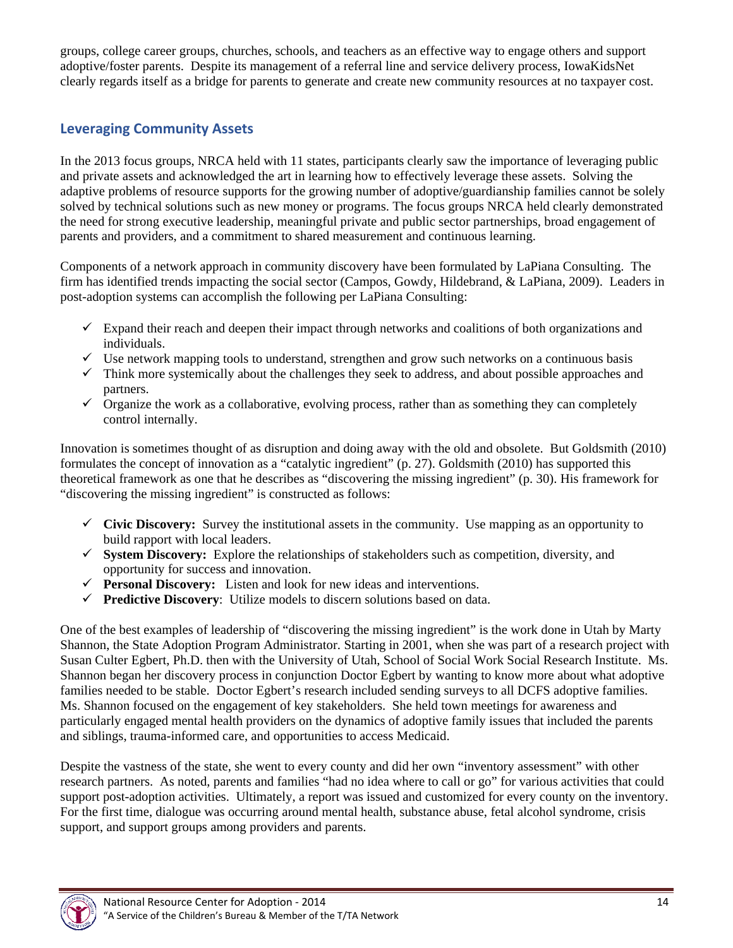groups, college career groups, churches, schools, and teachers as an effective way to engage others and support adoptive/foster parents. Despite its management of a referral line and service delivery process, IowaKidsNet clearly regards itself as a bridge for parents to generate and create new community resources at no taxpayer cost.

## **Leveraging Community Assets**

In the 2013 focus groups, NRCA held with 11 states, participants clearly saw the importance of leveraging public and private assets and acknowledged the art in learning how to effectively leverage these assets. Solving the adaptive problems of resource supports for the growing number of adoptive/guardianship families cannot be solely solved by technical solutions such as new money or programs. The focus groups NRCA held clearly demonstrated the need for strong executive leadership, meaningful private and public sector partnerships, broad engagement of parents and providers, and a commitment to shared measurement and continuous learning.

Components of a network approach in community discovery have been formulated by LaPiana Consulting. The firm has identified trends impacting the social sector (Campos, Gowdy, Hildebrand, & LaPiana, 2009). Leaders in post-adoption systems can accomplish the following per LaPiana Consulting:

- $\checkmark$  Expand their reach and deepen their impact through networks and coalitions of both organizations and individuals.
- $\checkmark$  Use network mapping tools to understand, strengthen and grow such networks on a continuous basis
- $\checkmark$  Think more systemically about the challenges they seek to address, and about possible approaches and partners.
- $\checkmark$  Organize the work as a collaborative, evolving process, rather than as something they can completely control internally.

Innovation is sometimes thought of as disruption and doing away with the old and obsolete. But Goldsmith (2010) formulates the concept of innovation as a "catalytic ingredient" (p. 27). Goldsmith (2010) has supported this theoretical framework as one that he describes as "discovering the missing ingredient" (p. 30). His framework for "discovering the missing ingredient" is constructed as follows:

- **Civic Discovery:** Survey the institutional assets in the community. Use mapping as an opportunity to build rapport with local leaders.
- $\checkmark$  **System Discovery:** Explore the relationships of stakeholders such as competition, diversity, and opportunity for success and innovation.
- **Personal Discovery:** Listen and look for new ideas and interventions.
- **Predictive Discovery**: Utilize models to discern solutions based on data.

One of the best examples of leadership of "discovering the missing ingredient" is the work done in Utah by Marty Shannon, the State Adoption Program Administrator. Starting in 2001, when she was part of a research project with Susan Culter Egbert, Ph.D. then with the University of Utah, School of Social Work Social Research Institute. Ms. Shannon began her discovery process in conjunction Doctor Egbert by wanting to know more about what adoptive families needed to be stable. Doctor Egbert's research included sending surveys to all DCFS adoptive families. Ms. Shannon focused on the engagement of key stakeholders. She held town meetings for awareness and particularly engaged mental health providers on the dynamics of adoptive family issues that included the parents and siblings, trauma-informed care, and opportunities to access Medicaid.

Despite the vastness of the state, she went to every county and did her own "inventory assessment" with other research partners. As noted, parents and families "had no idea where to call or go" for various activities that could support post-adoption activities. Ultimately, a report was issued and customized for every county on the inventory. For the first time, dialogue was occurring around mental health, substance abuse, fetal alcohol syndrome, crisis support, and support groups among providers and parents.

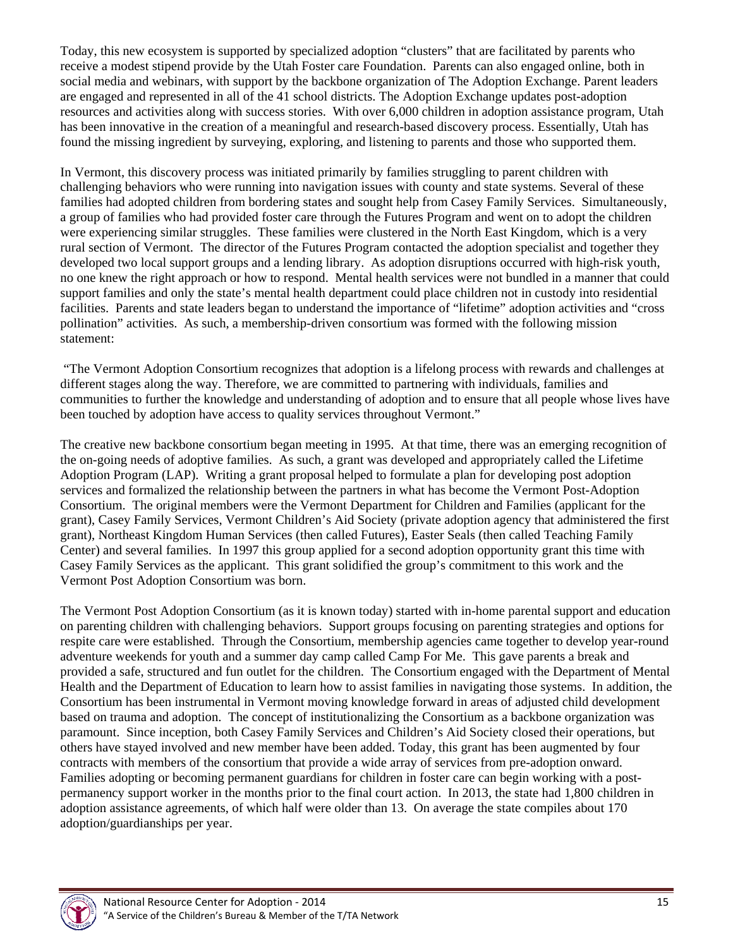Today, this new ecosystem is supported by specialized adoption "clusters" that are facilitated by parents who receive a modest stipend provide by the Utah Foster care Foundation. Parents can also engaged online, both in social media and webinars, with support by the backbone organization of The Adoption Exchange. Parent leaders are engaged and represented in all of the 41 school districts. The Adoption Exchange updates post-adoption resources and activities along with success stories. With over 6,000 children in adoption assistance program, Utah has been innovative in the creation of a meaningful and research-based discovery process. Essentially, Utah has found the missing ingredient by surveying, exploring, and listening to parents and those who supported them.

In Vermont, this discovery process was initiated primarily by families struggling to parent children with challenging behaviors who were running into navigation issues with county and state systems. Several of these families had adopted children from bordering states and sought help from Casey Family Services. Simultaneously, a group of families who had provided foster care through the Futures Program and went on to adopt the children were experiencing similar struggles. These families were clustered in the North East Kingdom, which is a very rural section of Vermont. The director of the Futures Program contacted the adoption specialist and together they developed two local support groups and a lending library. As adoption disruptions occurred with high-risk youth, no one knew the right approach or how to respond. Mental health services were not bundled in a manner that could support families and only the state's mental health department could place children not in custody into residential facilities. Parents and state leaders began to understand the importance of "lifetime" adoption activities and "cross pollination" activities. As such, a membership-driven consortium was formed with the following mission statement:

 "The Vermont Adoption Consortium recognizes that adoption is a lifelong process with rewards and challenges at different stages along the way. Therefore, we are committed to partnering with individuals, families and communities to further the knowledge and understanding of adoption and to ensure that all people whose lives have been touched by adoption have access to quality services throughout Vermont."

The creative new backbone consortium began meeting in 1995. At that time, there was an emerging recognition of the on-going needs of adoptive families. As such, a grant was developed and appropriately called the Lifetime Adoption Program (LAP). Writing a grant proposal helped to formulate a plan for developing post adoption services and formalized the relationship between the partners in what has become the Vermont Post-Adoption Consortium. The original members were the Vermont Department for Children and Families (applicant for the grant), Casey Family Services, Vermont Children's Aid Society (private adoption agency that administered the first grant), Northeast Kingdom Human Services (then called Futures), Easter Seals (then called Teaching Family Center) and several families. In 1997 this group applied for a second adoption opportunity grant this time with Casey Family Services as the applicant. This grant solidified the group's commitment to this work and the Vermont Post Adoption Consortium was born.

The Vermont Post Adoption Consortium (as it is known today) started with in-home parental support and education on parenting children with challenging behaviors. Support groups focusing on parenting strategies and options for respite care were established. Through the Consortium, membership agencies came together to develop year-round adventure weekends for youth and a summer day camp called Camp For Me. This gave parents a break and provided a safe, structured and fun outlet for the children. The Consortium engaged with the Department of Mental Health and the Department of Education to learn how to assist families in navigating those systems. In addition, the Consortium has been instrumental in Vermont moving knowledge forward in areas of adjusted child development based on trauma and adoption. The concept of institutionalizing the Consortium as a backbone organization was paramount. Since inception, both Casey Family Services and Children's Aid Society closed their operations, but others have stayed involved and new member have been added. Today, this grant has been augmented by four contracts with members of the consortium that provide a wide array of services from pre-adoption onward. Families adopting or becoming permanent guardians for children in foster care can begin working with a postpermanency support worker in the months prior to the final court action. In 2013, the state had 1,800 children in adoption assistance agreements, of which half were older than 13. On average the state compiles about 170 adoption/guardianships per year.

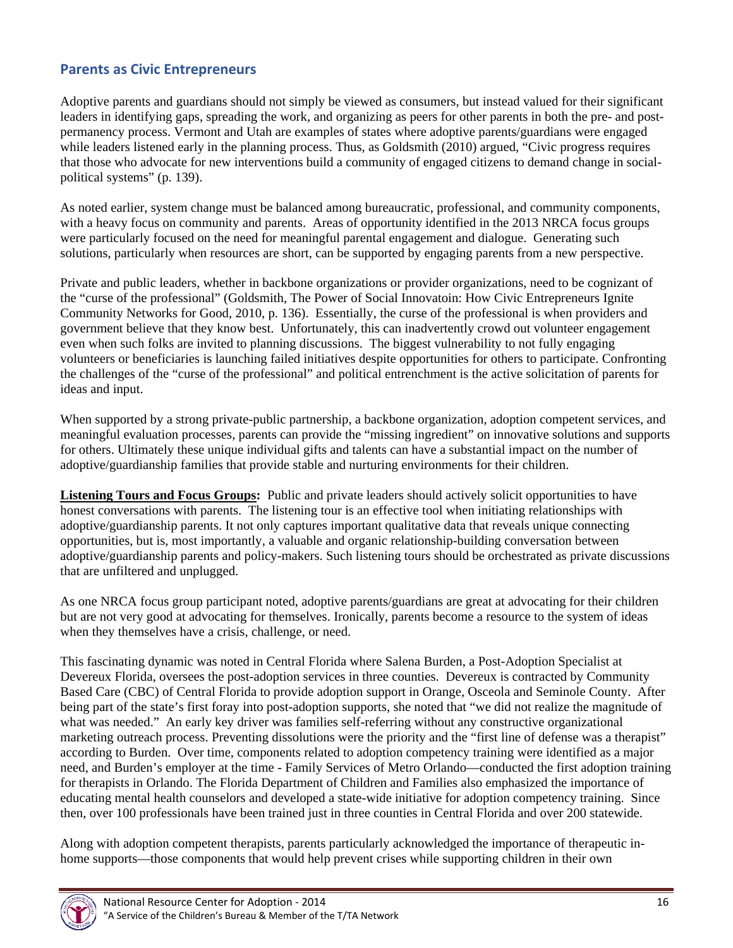## **Parents as Civic Entrepreneurs**

Adoptive parents and guardians should not simply be viewed as consumers, but instead valued for their significant leaders in identifying gaps, spreading the work, and organizing as peers for other parents in both the pre- and postpermanency process. Vermont and Utah are examples of states where adoptive parents/guardians were engaged while leaders listened early in the planning process. Thus, as Goldsmith (2010) argued, "Civic progress requires that those who advocate for new interventions build a community of engaged citizens to demand change in socialpolitical systems" (p. 139).

As noted earlier, system change must be balanced among bureaucratic, professional, and community components, with a heavy focus on community and parents. Areas of opportunity identified in the 2013 NRCA focus groups were particularly focused on the need for meaningful parental engagement and dialogue. Generating such solutions, particularly when resources are short, can be supported by engaging parents from a new perspective.

Private and public leaders, whether in backbone organizations or provider organizations, need to be cognizant of the "curse of the professional" (Goldsmith, The Power of Social Innovatoin: How Civic Entrepreneurs Ignite Community Networks for Good, 2010, p. 136). Essentially, the curse of the professional is when providers and government believe that they know best. Unfortunately, this can inadvertently crowd out volunteer engagement even when such folks are invited to planning discussions. The biggest vulnerability to not fully engaging volunteers or beneficiaries is launching failed initiatives despite opportunities for others to participate. Confronting the challenges of the "curse of the professional" and political entrenchment is the active solicitation of parents for ideas and input.

When supported by a strong private-public partnership, a backbone organization, adoption competent services, and meaningful evaluation processes, parents can provide the "missing ingredient" on innovative solutions and supports for others. Ultimately these unique individual gifts and talents can have a substantial impact on the number of adoptive/guardianship families that provide stable and nurturing environments for their children.

**Listening Tours and Focus Groups:** Public and private leaders should actively solicit opportunities to have honest conversations with parents. The listening tour is an effective tool when initiating relationships with adoptive/guardianship parents. It not only captures important qualitative data that reveals unique connecting opportunities, but is, most importantly, a valuable and organic relationship-building conversation between adoptive/guardianship parents and policy-makers. Such listening tours should be orchestrated as private discussions that are unfiltered and unplugged.

As one NRCA focus group participant noted, adoptive parents/guardians are great at advocating for their children but are not very good at advocating for themselves. Ironically, parents become a resource to the system of ideas when they themselves have a crisis, challenge, or need.

This fascinating dynamic was noted in Central Florida where Salena Burden, a Post-Adoption Specialist at Devereux Florida, oversees the post-adoption services in three counties. Devereux is contracted by Community Based Care (CBC) of Central Florida to provide adoption support in Orange, Osceola and Seminole County. After being part of the state's first foray into post-adoption supports, she noted that "we did not realize the magnitude of what was needed." An early key driver was families self-referring without any constructive organizational marketing outreach process. Preventing dissolutions were the priority and the "first line of defense was a therapist" according to Burden. Over time, components related to adoption competency training were identified as a major need, and Burden's employer at the time - Family Services of Metro Orlando—conducted the first adoption training for therapists in Orlando. The Florida Department of Children and Families also emphasized the importance of educating mental health counselors and developed a state-wide initiative for adoption competency training. Since then, over 100 professionals have been trained just in three counties in Central Florida and over 200 statewide.

Along with adoption competent therapists, parents particularly acknowledged the importance of therapeutic inhome supports—those components that would help prevent crises while supporting children in their own

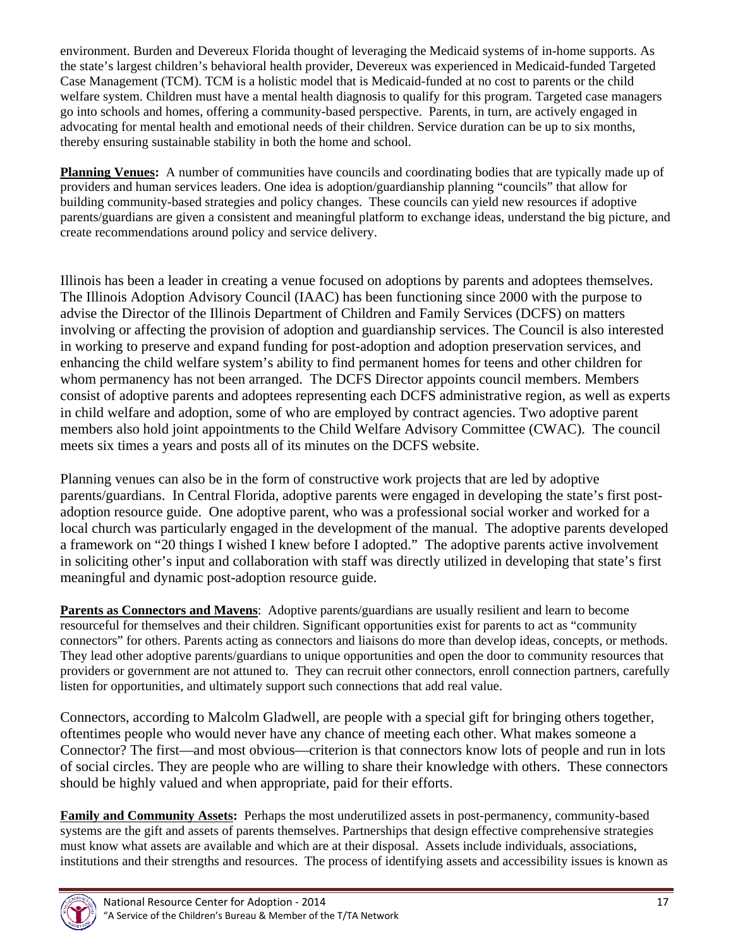environment. Burden and Devereux Florida thought of leveraging the Medicaid systems of in-home supports. As the state's largest children's behavioral health provider, Devereux was experienced in Medicaid-funded Targeted Case Management (TCM). TCM is a holistic model that is Medicaid-funded at no cost to parents or the child welfare system. Children must have a mental health diagnosis to qualify for this program. Targeted case managers go into schools and homes, offering a community-based perspective. Parents, in turn, are actively engaged in advocating for mental health and emotional needs of their children. Service duration can be up to six months, thereby ensuring sustainable stability in both the home and school.

**Planning Venues:** A number of communities have councils and coordinating bodies that are typically made up of providers and human services leaders. One idea is adoption/guardianship planning "councils" that allow for building community-based strategies and policy changes. These councils can yield new resources if adoptive parents/guardians are given a consistent and meaningful platform to exchange ideas, understand the big picture, and create recommendations around policy and service delivery.

Illinois has been a leader in creating a venue focused on adoptions by parents and adoptees themselves. The Illinois Adoption Advisory Council (IAAC) has been functioning since 2000 with the purpose to advise the Director of the Illinois Department of Children and Family Services (DCFS) on matters involving or affecting the provision of adoption and guardianship services. The Council is also interested in working to preserve and expand funding for post-adoption and adoption preservation services, and enhancing the child welfare system's ability to find permanent homes for teens and other children for whom permanency has not been arranged. The DCFS Director appoints council members. Members consist of adoptive parents and adoptees representing each DCFS administrative region, as well as experts in child welfare and adoption, some of who are employed by contract agencies. Two adoptive parent members also hold joint appointments to the Child Welfare Advisory Committee (CWAC). The council meets six times a years and posts all of its minutes on the DCFS website.

Planning venues can also be in the form of constructive work projects that are led by adoptive parents/guardians. In Central Florida, adoptive parents were engaged in developing the state's first postadoption resource guide. One adoptive parent, who was a professional social worker and worked for a local church was particularly engaged in the development of the manual. The adoptive parents developed a framework on "20 things I wished I knew before I adopted." The adoptive parents active involvement in soliciting other's input and collaboration with staff was directly utilized in developing that state's first meaningful and dynamic post-adoption resource guide.

**Parents as Connectors and Mavens**: Adoptive parents/guardians are usually resilient and learn to become resourceful for themselves and their children. Significant opportunities exist for parents to act as "community connectors" for others. Parents acting as connectors and liaisons do more than develop ideas, concepts, or methods. They lead other adoptive parents/guardians to unique opportunities and open the door to community resources that providers or government are not attuned to. They can recruit other connectors, enroll connection partners, carefully listen for opportunities, and ultimately support such connections that add real value.

Connectors, according to Malcolm Gladwell, are people with a special gift for bringing others together, oftentimes people who would never have any chance of meeting each other. What makes someone a Connector? The first—and most obvious—criterion is that connectors know lots of people and run in lots of social circles. They are people who are willing to share their knowledge with others. These connectors should be highly valued and when appropriate, paid for their efforts.

**Family and Community Assets:** Perhaps the most underutilized assets in post-permanency, community-based systems are the gift and assets of parents themselves. Partnerships that design effective comprehensive strategies must know what assets are available and which are at their disposal. Assets include individuals, associations, institutions and their strengths and resources. The process of identifying assets and accessibility issues is known as

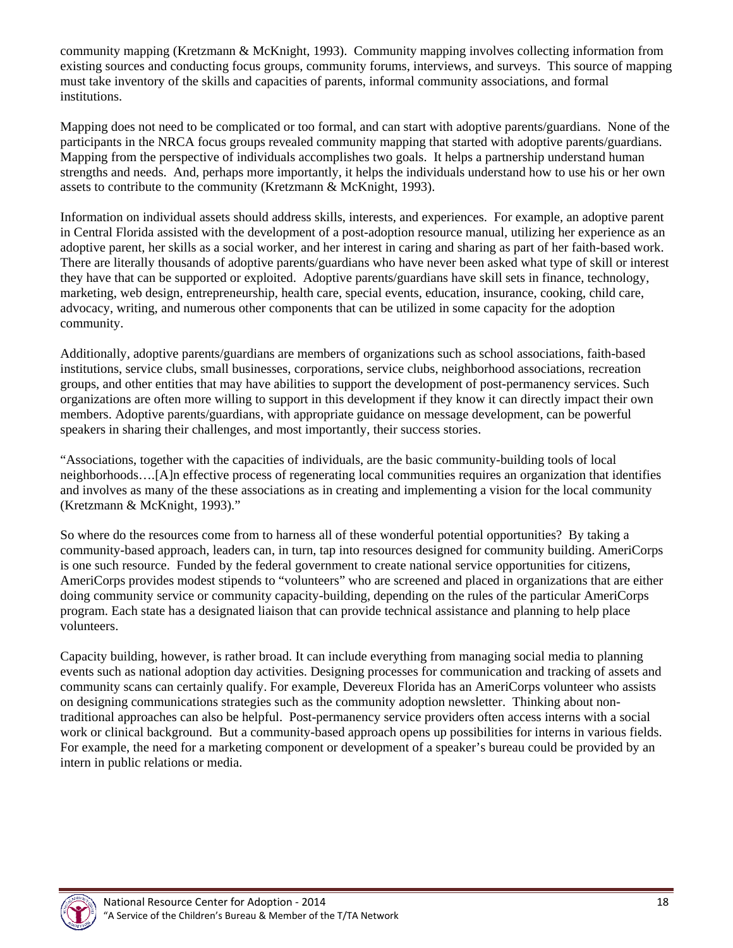community mapping (Kretzmann & McKnight, 1993). Community mapping involves collecting information from existing sources and conducting focus groups, community forums, interviews, and surveys. This source of mapping must take inventory of the skills and capacities of parents, informal community associations, and formal institutions.

Mapping does not need to be complicated or too formal, and can start with adoptive parents/guardians. None of the participants in the NRCA focus groups revealed community mapping that started with adoptive parents/guardians. Mapping from the perspective of individuals accomplishes two goals. It helps a partnership understand human strengths and needs. And, perhaps more importantly, it helps the individuals understand how to use his or her own assets to contribute to the community (Kretzmann & McKnight, 1993).

Information on individual assets should address skills, interests, and experiences. For example, an adoptive parent in Central Florida assisted with the development of a post-adoption resource manual, utilizing her experience as an adoptive parent, her skills as a social worker, and her interest in caring and sharing as part of her faith-based work. There are literally thousands of adoptive parents/guardians who have never been asked what type of skill or interest they have that can be supported or exploited. Adoptive parents/guardians have skill sets in finance, technology, marketing, web design, entrepreneurship, health care, special events, education, insurance, cooking, child care, advocacy, writing, and numerous other components that can be utilized in some capacity for the adoption community.

Additionally, adoptive parents/guardians are members of organizations such as school associations, faith-based institutions, service clubs, small businesses, corporations, service clubs, neighborhood associations, recreation groups, and other entities that may have abilities to support the development of post-permanency services. Such organizations are often more willing to support in this development if they know it can directly impact their own members. Adoptive parents/guardians, with appropriate guidance on message development, can be powerful speakers in sharing their challenges, and most importantly, their success stories.

"Associations, together with the capacities of individuals, are the basic community-building tools of local neighborhoods….[A]n effective process of regenerating local communities requires an organization that identifies and involves as many of the these associations as in creating and implementing a vision for the local community (Kretzmann & McKnight, 1993)."

So where do the resources come from to harness all of these wonderful potential opportunities? By taking a community-based approach, leaders can, in turn, tap into resources designed for community building. AmeriCorps is one such resource. Funded by the federal government to create national service opportunities for citizens, AmeriCorps provides modest stipends to "volunteers" who are screened and placed in organizations that are either doing community service or community capacity-building, depending on the rules of the particular AmeriCorps program. Each state has a designated liaison that can provide technical assistance and planning to help place volunteers.

Capacity building, however, is rather broad. It can include everything from managing social media to planning events such as national adoption day activities. Designing processes for communication and tracking of assets and community scans can certainly qualify. For example, Devereux Florida has an AmeriCorps volunteer who assists on designing communications strategies such as the community adoption newsletter. Thinking about nontraditional approaches can also be helpful. Post-permanency service providers often access interns with a social work or clinical background. But a community-based approach opens up possibilities for interns in various fields. For example, the need for a marketing component or development of a speaker's bureau could be provided by an intern in public relations or media.

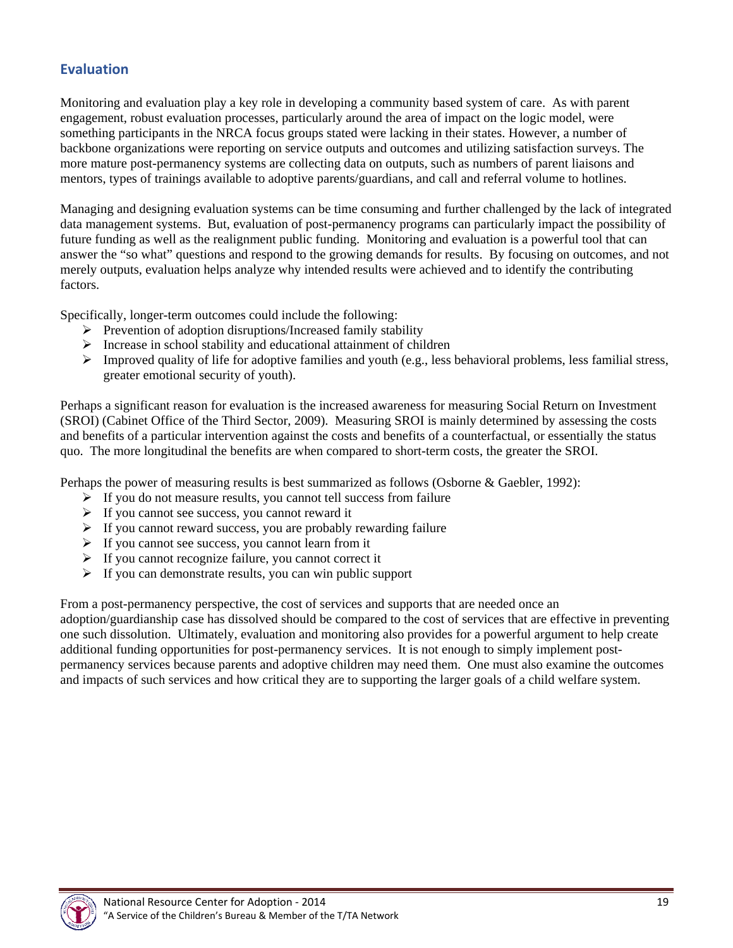## **Evaluation**

Monitoring and evaluation play a key role in developing a community based system of care. As with parent engagement, robust evaluation processes, particularly around the area of impact on the logic model, were something participants in the NRCA focus groups stated were lacking in their states. However, a number of backbone organizations were reporting on service outputs and outcomes and utilizing satisfaction surveys. The more mature post-permanency systems are collecting data on outputs, such as numbers of parent liaisons and mentors, types of trainings available to adoptive parents/guardians, and call and referral volume to hotlines.

Managing and designing evaluation systems can be time consuming and further challenged by the lack of integrated data management systems. But, evaluation of post-permanency programs can particularly impact the possibility of future funding as well as the realignment public funding. Monitoring and evaluation is a powerful tool that can answer the "so what" questions and respond to the growing demands for results. By focusing on outcomes, and not merely outputs, evaluation helps analyze why intended results were achieved and to identify the contributing factors.

Specifically, longer-term outcomes could include the following:

- $\triangleright$  Prevention of adoption disruptions/Increased family stability
- $\triangleright$  Increase in school stability and educational attainment of children
- $\triangleright$  Improved quality of life for adoptive families and youth (e.g., less behavioral problems, less familial stress, greater emotional security of youth).

Perhaps a significant reason for evaluation is the increased awareness for measuring Social Return on Investment (SROI) (Cabinet Office of the Third Sector, 2009). Measuring SROI is mainly determined by assessing the costs and benefits of a particular intervention against the costs and benefits of a counterfactual, or essentially the status quo. The more longitudinal the benefits are when compared to short-term costs, the greater the SROI.

Perhaps the power of measuring results is best summarized as follows (Osborne & Gaebler, 1992):

- $\triangleright$  If you do not measure results, you cannot tell success from failure
- $\triangleright$  If you cannot see success, you cannot reward it
- $\triangleright$  If you cannot reward success, you are probably rewarding failure
- $\triangleright$  If you cannot see success, you cannot learn from it
- $\triangleright$  If you cannot recognize failure, you cannot correct it
- $\triangleright$  If you can demonstrate results, you can win public support

From a post-permanency perspective, the cost of services and supports that are needed once an adoption/guardianship case has dissolved should be compared to the cost of services that are effective in preventing one such dissolution. Ultimately, evaluation and monitoring also provides for a powerful argument to help create additional funding opportunities for post-permanency services. It is not enough to simply implement postpermanency services because parents and adoptive children may need them. One must also examine the outcomes and impacts of such services and how critical they are to supporting the larger goals of a child welfare system.